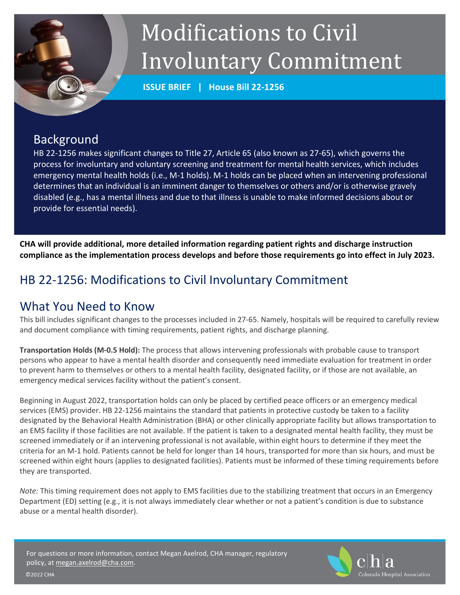# Modifications to Civil Involuntary Commitment

**ISSUE BRIEF | House Bill 22-1256**

## Background

HB 22-1256 makes significant changes to Title 27, Article 65 (also known as 27-65), which governs the process for involuntary and voluntary screening and treatment for mental health services, which includes emergency mental health holds (i.e., M-1 holds). M-1 holds can be placed when an intervening professional determines that an individual is an imminent danger to themselves or others and/or is otherwise gravely disabled (e.g., has a mental illness and due to that illness is unable to make informed decisions about or provide for essential needs).

**CHA will provide additional, more detailed information regarding patient rights and discharge instruction compliance as the implementation process develops and before those requirements go into effect in July 2023.** 

# HB 22-1256: Modifications to Civil Involuntary Commitment

### What You Need to Know

This bill includes significant changes to the processes included in 27-65. Namely, hospitals will be required to carefully review and document compliance with timing requirements, patient rights, and discharge planning.

**Transportation Holds (M-0.5 Hold):** The process that allows intervening professionals with probable cause to transport persons who appear to have a mental health disorder and consequently need immediate evaluation for treatment in order to prevent harm to themselves or others to a mental health facility, designated facility, or if those are not available, an emergency medical services facility without the patient's consent.

Beginning in August 2022, transportation holds can only be placed by certified peace officers or an emergency medical services (EMS) provider. HB 22-1256 maintains the standard that patients in protective custody be taken to a facility designated by the Behavioral Health Administration (BHA) or other clinically appropriate facility but allows transportation to an EMS facility if those facilities are not available. If the patient is taken to a designated mental health facility, they must be screened immediately or if an intervening professional is not available, within eight hours to determine if they meet the criteria for an M-1 hold. Patients cannot be held for longer than 14 hours, transported for more than six hours, and must be screened within eight hours (applies to designated facilities). Patients must be informed of these timing requirements before they are transported.

*Note:* This timing requirement does not apply to EMS facilities due to the stabilizing treatment that occurs in an Emergency Department (ED) setting (e.g., it is not always immediately clear whether or not a patient's condition is due to substance abuse or a mental health disorder).

For questions or more information, contact Megan Axelrod, CHA manager, regulatory policy, at [megan.axelrod@cha.com.](mailto:megan.axelrod@cha.com)



**©2022 CHA**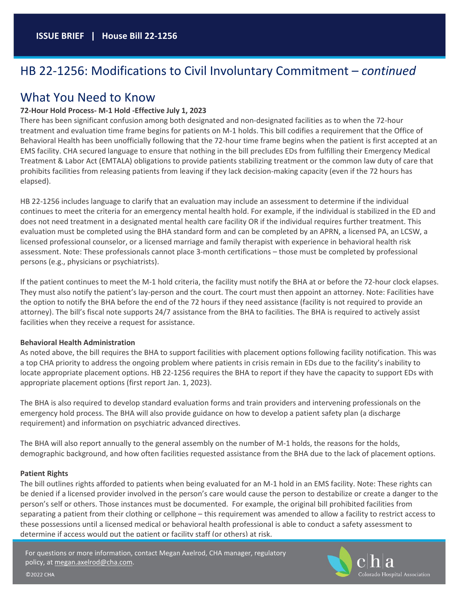# HB 22-1256: Modifications to Civil Involuntary Commitment – *continued*

### What You Need to Know

#### **72-Hour Hold Process- M-1 Hold -Effective July 1, 2023**

There has been significant confusion among both designated and non-designated facilities as to when the 72-hour treatment and evaluation time frame begins for patients on M-1 holds. This bill codifies a requirement that the Office of Behavioral Health has been unofficially following that the 72-hour time frame begins when the patient is first accepted at an EMS facility. CHA secured language to ensure that nothing in the bill precludes EDs from fulfilling their Emergency Medical Treatment & Labor Act (EMTALA) obligations to provide patients stabilizing treatment or the common law duty of care that prohibits facilities from releasing patients from leaving if they lack decision-making capacity (even if the 72 hours has elapsed).

HB 22-1256 includes language to clarify that an evaluation may include an assessment to determine if the individual continues to meet the criteria for an emergency mental health hold. For example, if the individual is stabilized in the ED and does not need treatment in a designated mental health care facility OR if the individual requires further treatment. This evaluation must be completed using the BHA standard form and can be completed by an APRN, a licensed PA, an LCSW, a licensed professional counselor, or a licensed marriage and family therapist with experience in behavioral health risk assessment. Note: These professionals cannot place 3-month certifications – those must be completed by professional persons (e.g., physicians or psychiatrists).

If the patient continues to meet the M-1 hold criteria, the facility must notify the BHA at or before the 72-hour clock elapses. They must also notify the patient's lay-person and the court. The court must then appoint an attorney. Note: Facilities have the option to notify the BHA before the end of the 72 hours if they need assistance (facility is not required to provide an attorney). The bill's fiscal note supports 24/7 assistance from the BHA to facilities. The BHA is required to actively assist facilities when they receive a request for assistance.

#### **Behavioral Health Administration**

As noted above, the bill requires the BHA to support facilities with placement options following facility notification. This was a top CHA priority to address the ongoing problem where patients in crisis remain in EDs due to the facility's inability to locate appropriate placement options. HB 22-1256 requires the BHA to report if they have the capacity to support EDs with appropriate placement options (first report Jan. 1, 2023).

The BHA is also required to develop standard evaluation forms and train providers and intervening professionals on the emergency hold process. The BHA will also provide guidance on how to develop a patient safety plan (a discharge requirement) and information on psychiatric advanced directives.

The BHA will also report annually to the general assembly on the number of M-1 holds, the reasons for the holds, demographic background, and how often facilities requested assistance from the BHA due to the lack of placement options.

#### **Patient Rights**

The bill outlines rights afforded to patients when being evaluated for an M-1 hold in an EMS facility. Note: These rights can be denied if a licensed provider involved in the person's care would cause the person to destabilize or create a danger to the person's self or others. Those instances must be documented. For example, the original bill prohibited facilities from separating a patient from their clothing or cellphone – this requirement was amended to allow a facility to restrict access to these possessions until a licensed medical or behavioral health professional is able to conduct a safety assessment to determine if access would put the patient or facility staff (or others) at risk.

For questions or more information, contact Megan Axelrod, CHA manager, regulatory policy, a[t megan.axelrod@cha.com.](mailto:megan.axelrod@cha.com) 



©2022 CHA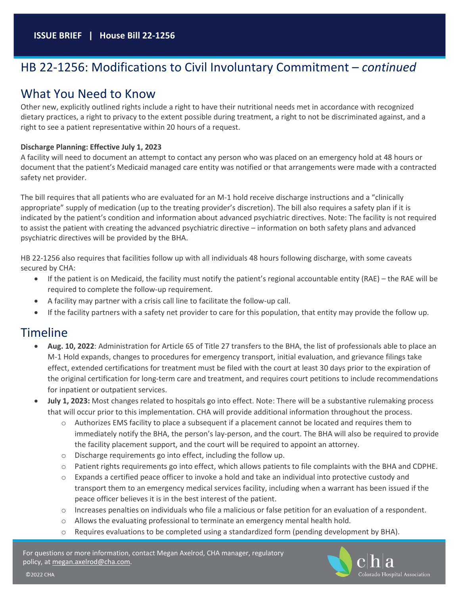# HB 22-1256: Modifications to Civil Involuntary Commitment – *continued*

### What You Need to Know

Other new, explicitly outlined rights include a right to have their nutritional needs met in accordance with recognized dietary practices, a right to privacy to the extent possible during treatment, a right to not be discriminated against, and a right to see a patient representative within 20 hours of a request.

#### **Discharge Planning: Effective July 1, 2023**

A facility will need to document an attempt to contact any person who was placed on an emergency hold at 48 hours or document that the patient's Medicaid managed care entity was notified or that arrangements were made with a contracted safety net provider.

The bill requires that all patients who are evaluated for an M-1 hold receive discharge instructions and a "clinically appropriate" supply of medication (up to the treating provider's discretion). The bill also requires a safety plan if it is indicated by the patient's condition and information about advanced psychiatric directives. Note: The facility is not required to assist the patient with creating the advanced psychiatric directive – information on both safety plans and advanced psychiatric directives will be provided by the BHA.

HB 22-1256 also requires that facilities follow up with all individuals 48 hours following discharge, with some caveats secured by CHA:

- If the patient is on Medicaid, the facility must notify the patient's regional accountable entity (RAE) the RAE will be required to complete the follow-up requirement.
- A facility may partner with a crisis call line to facilitate the follow-up call.
- If the facility partners with a safety net provider to care for this population, that entity may provide the follow up.

### Timeline

- **Aug. 10, 2022**: Administration for Article 65 of Title 27 transfers to the BHA, the list of professionals able to place an M-1 Hold expands, changes to procedures for emergency transport, initial evaluation, and grievance filings take effect, extended certifications for treatment must be filed with the court at least 30 days prior to the expiration of the original certification for long-term care and treatment, and requires court petitions to include recommendations for inpatient or outpatient services.
- **July 1, 2023:** Most changes related to hospitals go into effect. Note: There will be a substantive rulemaking process that will occur prior to this implementation. CHA will provide additional information throughout the process.
	- $\circ$  Authorizes EMS facility to place a subsequent if a placement cannot be located and requires them to immediately notify the BHA, the person's lay-person, and the court. The BHA will also be required to provide the facility placement support, and the court will be required to appoint an attorney.
	- o Discharge requirements go into effect, including the follow up.
	- o Patient rights requirements go into effect, which allows patients to file complaints with the BHA and CDPHE.
	- $\circ$  Expands a certified peace officer to invoke a hold and take an individual into protective custody and transport them to an emergency medical services facility, including when a warrant has been issued if the peace officer believes it is in the best interest of the patient.
	- $\circ$  Increases penalties on individuals who file a malicious or false petition for an evaluation of a respondent.
	- o Allows the evaluating professional to terminate an emergency mental health hold.
	- $\circ$  Requires evaluations to be completed using a standardized form (pending development by BHA).

For questions or more information, contact Megan Axelrod, CHA manager, regulatory policy, a[t megan.axelrod@cha.com.](mailto:megan.axelrod@cha.com) 



©2022 CHA